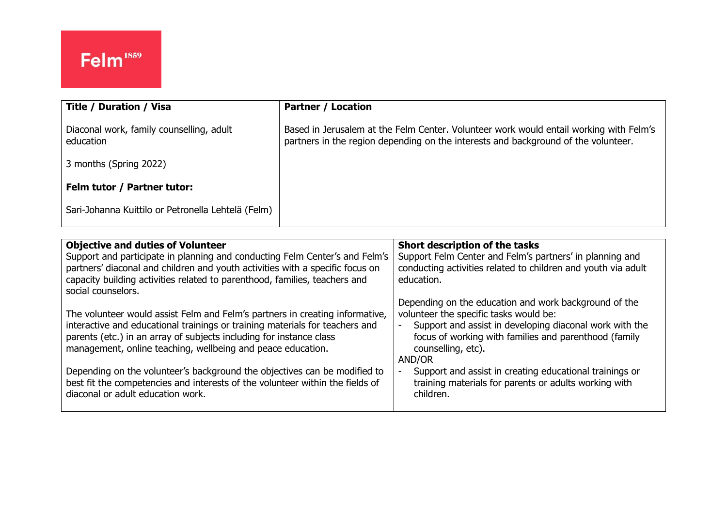| <b>Title / Duration / Visa</b>                        | <b>Partner / Location</b>                                                                                                                                                    |
|-------------------------------------------------------|------------------------------------------------------------------------------------------------------------------------------------------------------------------------------|
| Diaconal work, family counselling, adult<br>education | Based in Jerusalem at the Felm Center. Volunteer work would entail working with Felm's<br>partners in the region depending on the interests and background of the volunteer. |
| 3 months (Spring 2022)                                |                                                                                                                                                                              |
| Felm tutor / Partner tutor:                           |                                                                                                                                                                              |
| Sari-Johanna Kuittilo or Petronella Lehtelä (Felm)    |                                                                                                                                                                              |

| <b>Objective and duties of Volunteer</b>                                                                                                                     | Short description of the tasks                                                                                            |
|--------------------------------------------------------------------------------------------------------------------------------------------------------------|---------------------------------------------------------------------------------------------------------------------------|
| Support and participate in planning and conducting Felm Center's and Felm's<br>partners' diaconal and children and youth activities with a specific focus on | Support Felm Center and Felm's partners' in planning and<br>conducting activities related to children and youth via adult |
| capacity building activities related to parenthood, families, teachers and                                                                                   | education.                                                                                                                |
| social counselors.                                                                                                                                           |                                                                                                                           |
|                                                                                                                                                              | Depending on the education and work background of the                                                                     |
| The volunteer would assist Felm and Felm's partners in creating informative,<br>interactive and educational trainings or training materials for teachers and | volunteer the specific tasks would be:<br>Support and assist in developing diaconal work with the                         |
| parents (etc.) in an array of subjects including for instance class                                                                                          | focus of working with families and parenthood (family                                                                     |
| management, online teaching, wellbeing and peace education.                                                                                                  | counselling, etc).                                                                                                        |
|                                                                                                                                                              | AND/OR                                                                                                                    |
| Depending on the volunteer's background the objectives can be modified to                                                                                    | Support and assist in creating educational trainings or                                                                   |
| best fit the competencies and interests of the volunteer within the fields of<br>diaconal or adult education work.                                           | training materials for parents or adults working with<br>children.                                                        |
|                                                                                                                                                              |                                                                                                                           |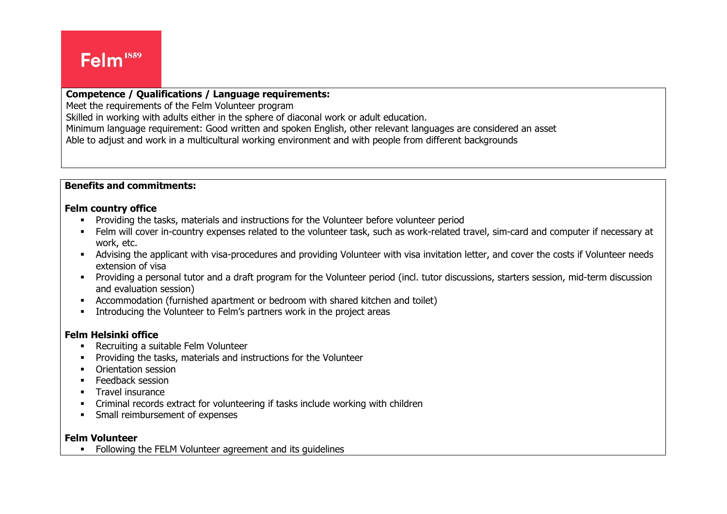#### Ļ **Competence / Qualifications / Language requirements:**

Meet the requirements of the Felm Volunteer program

Skilled in working with adults either in the sphere of diaconal work or adult education.

Minimum language requirement: Good written and spoken English, other relevant languages are considered an asset

Able to adjust and work in a multicultural working environment and with people from different backgrounds

## **Benefits and commitments:**

#### **Felm country office**

- Providing the tasks, materials and instructions for the Volunteer before volunteer period
- Felm will cover in-country expenses related to the volunteer task, such as work-related travel, sim-card and computer if necessary at work, etc.
- Advising the applicant with visa-procedures and providing Volunteer with visa invitation letter, and cover the costs if Volunteer needs extension of visa
- Providing a personal tutor and a draft program for the Volunteer period (incl. tutor discussions, starters session, mid-term discussion and evaluation session)
- Accommodation (furnished apartment or bedroom with shared kitchen and toilet)
- **•** Introducing the Volunteer to Felm's partners work in the project areas

### **Felm Helsinki office**

- Recruiting a suitable Felm Volunteer
- Providing the tasks, materials and instructions for the Volunteer
- Orientation session
- **E** Feedback session
- **•** Travel insurance
- Criminal records extract for volunteering if tasks include working with children
- Small reimbursement of expenses

#### **Felm Volunteer**

■ Following the FELM Volunteer agreement and its quidelines